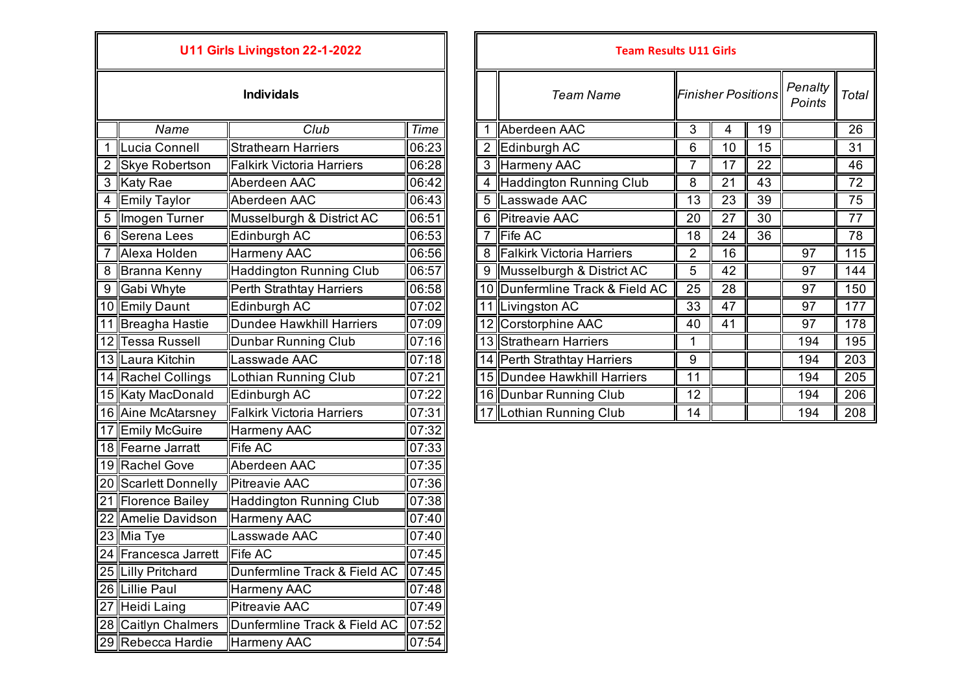| U11 Girls Livingston 22-1-2022 |                       |                                  |       |  |  |  |  |
|--------------------------------|-----------------------|----------------------------------|-------|--|--|--|--|
| <b>Individals</b>              |                       |                                  |       |  |  |  |  |
|                                | Name                  | Club                             | Time  |  |  |  |  |
| 1                              | Lucia Connell         | <b>Strathearn Harriers</b>       | 06:23 |  |  |  |  |
| $\overline{2}$                 | <b>Skye Robertson</b> | <b>Falkirk Victoria Harriers</b> | 06:28 |  |  |  |  |
| 3                              | <b>Katy Rae</b>       | Aberdeen AAC                     | 06:42 |  |  |  |  |
| 4                              | <b>Emily Taylor</b>   | Aberdeen AAC                     | 06:43 |  |  |  |  |
| 5                              | Imogen Turner         | Musselburgh & District AC        | 06:51 |  |  |  |  |
| 6                              | <b>Serena Lees</b>    | Edinburgh AC                     | 06:53 |  |  |  |  |
| 7                              | Alexa Holden          | Harmeny AAC                      | 06:56 |  |  |  |  |
| 8                              | <b>Branna Kenny</b>   | <b>Haddington Running Club</b>   | 06:57 |  |  |  |  |
| 9                              | Gabi Whyte            | Perth Strathtay Harriers         | 06:58 |  |  |  |  |
|                                | 10 Emily Daunt        | Edinburgh AC                     | 07:02 |  |  |  |  |
|                                | 11 Breagha Hastie     | <b>Dundee Hawkhill Harriers</b>  | 07:09 |  |  |  |  |
|                                | 12 Tessa Russell      | <b>Dunbar Running Club</b>       | 07:16 |  |  |  |  |
|                                | 13 Laura Kitchin      | Lasswade AAC                     | 07:18 |  |  |  |  |
|                                | 14 Rachel Collings    | Lothian Running Club             | 07:21 |  |  |  |  |
|                                | 15 Katy MacDonald     | Edinburgh AC                     | 07:22 |  |  |  |  |
|                                | 16 Aine McAtarsney    | <b>Falkirk Victoria Harriers</b> | 07:31 |  |  |  |  |
| 17                             | <b>Emily McGuire</b>  | <b>Harmeny AAC</b>               | 07:32 |  |  |  |  |
|                                | 18 Fearne Jarratt     | <b>Fife AC</b>                   | 07:33 |  |  |  |  |
|                                | 19 Rachel Gove        | Aberdeen AAC                     | 07:35 |  |  |  |  |
|                                | 20 Scarlett Donnelly  | <b>Pitreavie AAC</b>             | 07:36 |  |  |  |  |
|                                | 21 Florence Bailey    | <b>Haddington Running Club</b>   | 07:38 |  |  |  |  |
|                                | 22 Amelie Davidson    | <b>Harmeny AAC</b>               | 07:40 |  |  |  |  |
|                                | 23 Mia Tye            | Lasswade AAC                     | 07:40 |  |  |  |  |
|                                | 24 Francesca Jarrett  | <b>Fife AC</b>                   | 07:45 |  |  |  |  |
|                                | 25 Lilly Pritchard    | Dunfermline Track & Field AC     | 07:45 |  |  |  |  |
|                                | 26 Lillie Paul        | <b>Harmeny AAC</b>               | 07:48 |  |  |  |  |
|                                | 27 Heidi Laing        | <b>Pitreavie AAC</b>             | 07:49 |  |  |  |  |
|                                | 28 Caitlyn Chalmers   | Dunfermline Track & Field AC     | 07:52 |  |  |  |  |
| 29                             | Rebecca Hardie        | Harmeny AAC                      | 07:54 |  |  |  |  |

|                    | U11 Girls Livingston 22-1-2022   |       |   | <b>Team Results U11 Girls</b>   |                           |    |    |                   |       |
|--------------------|----------------------------------|-------|---|---------------------------------|---------------------------|----|----|-------------------|-------|
|                    | <b>Individals</b>                |       |   | <b>Team Name</b>                | <b>Finisher Positions</b> |    |    | Penalty<br>Points | Total |
| Name               | Club                             | Time  |   | Aberdeen AAC                    | 3                         | 4  | 19 |                   | 26    |
| 1 Lucia Connell    | <b>Strathearn Harriers</b>       | 06:23 | 2 | Edinburgh AC                    | 6                         | 10 | 15 |                   | 31    |
| 2 Skye Robertson   | <b>Falkirk Victoria Harriers</b> | 06:28 |   | 3 Harmeny AAC                   | $\overline{7}$            | 17 | 22 |                   | 46    |
| 3 Katy Rae         | Aberdeen AAC                     | 06:42 |   | 4 Haddington Running Club       | 8                         | 21 | 43 |                   | 72    |
| 4 Emily Taylor     | Aberdeen AAC                     | 06:43 |   | 5 Lasswade AAC                  | 13                        | 23 | 39 |                   | 75    |
| 5 Imogen Turner    | Musselburgh & District AC        | 06:51 |   | 6 Pitreavie AAC                 | 20                        | 27 | 30 |                   | 77    |
| 6 Serena Lees      | Edinburgh AC                     | 06:53 | 7 | <b>Fife AC</b>                  | 18                        | 24 | 36 |                   | 78    |
| Alexa Holden       | Harmeny AAC                      | 06:56 |   | 8 Falkirk Victoria Harriers     | $\overline{2}$            | 16 |    | 97                | 115   |
| 8 Branna Kenny     | <b>Haddington Running Club</b>   | 06:57 |   | 9 Musselburgh & District AC     | 5                         | 42 |    | 97                | 144   |
| 9 Gabi Whyte       | <b>Perth Strathtay Harriers</b>  | 06:58 |   | 10 Dunfermline Track & Field AC | 25                        | 28 |    | 97                | 150   |
| 10 Emily Daunt     | Edinburgh AC                     | 07:02 |   | 11 Livingston AC                | 33                        | 47 |    | 97                | 177   |
| 11 Breagha Hastie  | <b>Dundee Hawkhill Harriers</b>  | 07:09 |   | 12 Corstorphine AAC             | 40                        | 41 |    | 97                | 178   |
| 12 Tessa Russell   | Dunbar Running Club              | 07:16 |   | 13 Strathearn Harriers          |                           |    |    | 194               | 195   |
| 13 Laura Kitchin   | asswade AAC                      | 07:18 |   | 14 Perth Strathtay Harriers     | 9                         |    |    | 194               | 203   |
| 14 Rachel Collings | Lothian Running Club             | 07:21 |   | 15 Dundee Hawkhill Harriers     | 11                        |    |    | 194               | 205   |
| 15 Katy MacDonald  | Edinburgh AC                     | 07:22 |   | 16   Dunbar Running Club        | 12                        |    |    | 194               | 206   |
| 16 Aine McAtarsney | <b>Falkirk Victoria Harriers</b> | 07:31 |   | 17 Lothian Running Club         | 14                        |    |    | 194               | 208   |